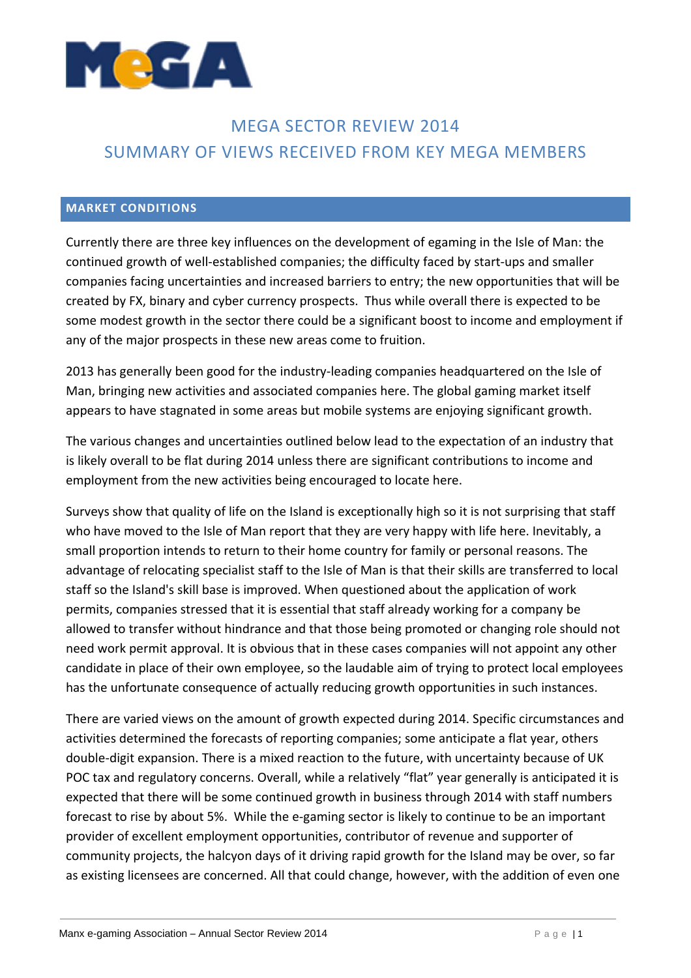

# MEGA SECTOR REVIEW 2014 SUMMARY OF VIEWS RECEIVED FROM KEY MEGA MEMBERS

## **MARKET CONDITIONS**

Currently there are three key influences on the development of egaming in the Isle of Man: the continued growth of well‐established companies; the difficulty faced by start‐ups and smaller companies facing uncertainties and increased barriers to entry; the new opportunities that will be created by FX, binary and cyber currency prospects. Thus while overall there is expected to be some modest growth in the sector there could be a significant boost to income and employment if any of the major prospects in these new areas come to fruition.

2013 has generally been good for the industry-leading companies headquartered on the Isle of Man, bringing new activities and associated companies here. The global gaming market itself appears to have stagnated in some areas but mobile systems are enjoying significant growth.

The various changes and uncertainties outlined below lead to the expectation of an industry that is likely overall to be flat during 2014 unless there are significant contributions to income and employment from the new activities being encouraged to locate here.

Surveys show that quality of life on the Island is exceptionally high so it is not surprising that staff who have moved to the Isle of Man report that they are very happy with life here. Inevitably, a small proportion intends to return to their home country for family or personal reasons. The advantage of relocating specialist staff to the Isle of Man is that their skills are transferred to local staff so the Island's skill base is improved. When questioned about the application of work permits, companies stressed that it is essential that staff already working for a company be allowed to transfer without hindrance and that those being promoted or changing role should not need work permit approval. It is obvious that in these cases companies will not appoint any other candidate in place of their own employee, so the laudable aim of trying to protect local employees has the unfortunate consequence of actually reducing growth opportunities in such instances.

There are varied views on the amount of growth expected during 2014. Specific circumstances and activities determined the forecasts of reporting companies; some anticipate a flat year, others double‐digit expansion. There is a mixed reaction to the future, with uncertainty because of UK POC tax and regulatory concerns. Overall, while a relatively "flat" year generally is anticipated it is expected that there will be some continued growth in business through 2014 with staff numbers forecast to rise by about 5%. While the e‐gaming sector is likely to continue to be an important provider of excellent employment opportunities, contributor of revenue and supporter of community projects, the halcyon days of it driving rapid growth for the Island may be over, so far as existing licensees are concerned. All that could change, however, with the addition of even one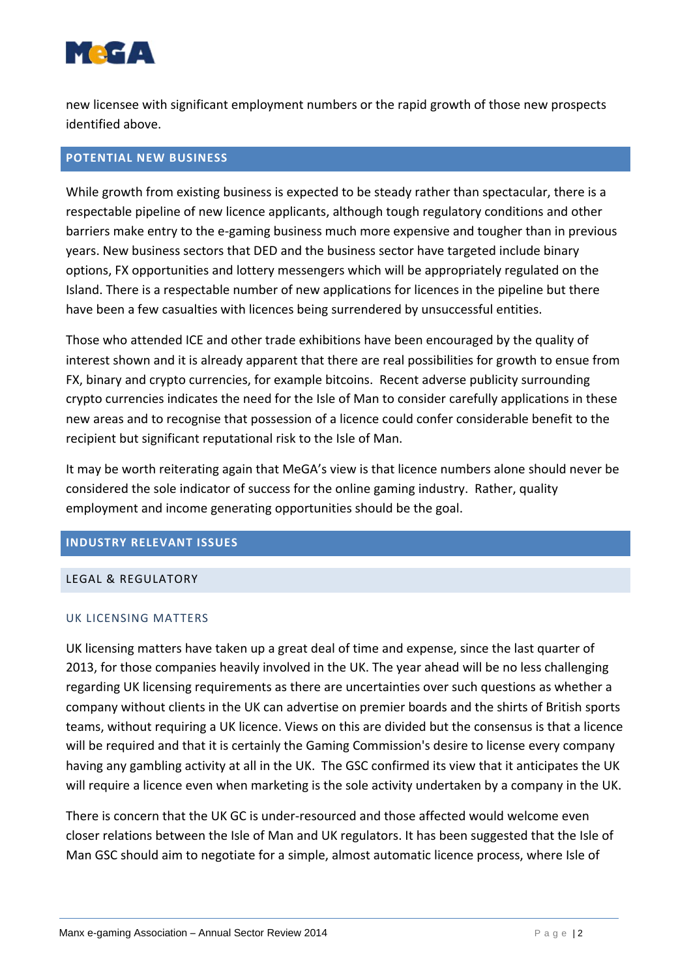

new licensee with significant employment numbers or the rapid growth of those new prospects identified above.

## **POTENTIAL NEW BUSINESS**

While growth from existing business is expected to be steady rather than spectacular, there is a respectable pipeline of new licence applicants, although tough regulatory conditions and other barriers make entry to the e‐gaming business much more expensive and tougher than in previous years. New business sectors that DED and the business sector have targeted include binary options, FX opportunities and lottery messengers which will be appropriately regulated on the Island. There is a respectable number of new applications for licences in the pipeline but there have been a few casualties with licences being surrendered by unsuccessful entities.

Those who attended ICE and other trade exhibitions have been encouraged by the quality of interest shown and it is already apparent that there are real possibilities for growth to ensue from FX, binary and crypto currencies, for example bitcoins. Recent adverse publicity surrounding crypto currencies indicates the need for the Isle of Man to consider carefully applications in these new areas and to recognise that possession of a licence could confer considerable benefit to the recipient but significant reputational risk to the Isle of Man.

It may be worth reiterating again that MeGA's view is that licence numbers alone should never be considered the sole indicator of success for the online gaming industry. Rather, quality employment and income generating opportunities should be the goal.

## **INDUSTRY RELEVANT ISSUES**

## LEGAL & REGULATORY

## UK LICENSING MATTERS

UK licensing matters have taken up a great deal of time and expense, since the last quarter of 2013, for those companies heavily involved in the UK. The year ahead will be no less challenging regarding UK licensing requirements as there are uncertainties over such questions as whether a company without clients in the UK can advertise on premier boards and the shirts of British sports teams, without requiring a UK licence. Views on this are divided but the consensus is that a licence will be required and that it is certainly the Gaming Commission's desire to license every company having any gambling activity at all in the UK. The GSC confirmed its view that it anticipates the UK will require a licence even when marketing is the sole activity undertaken by a company in the UK.

There is concern that the UK GC is under‐resourced and those affected would welcome even closer relations between the Isle of Man and UK regulators. It has been suggested that the Isle of Man GSC should aim to negotiate for a simple, almost automatic licence process, where Isle of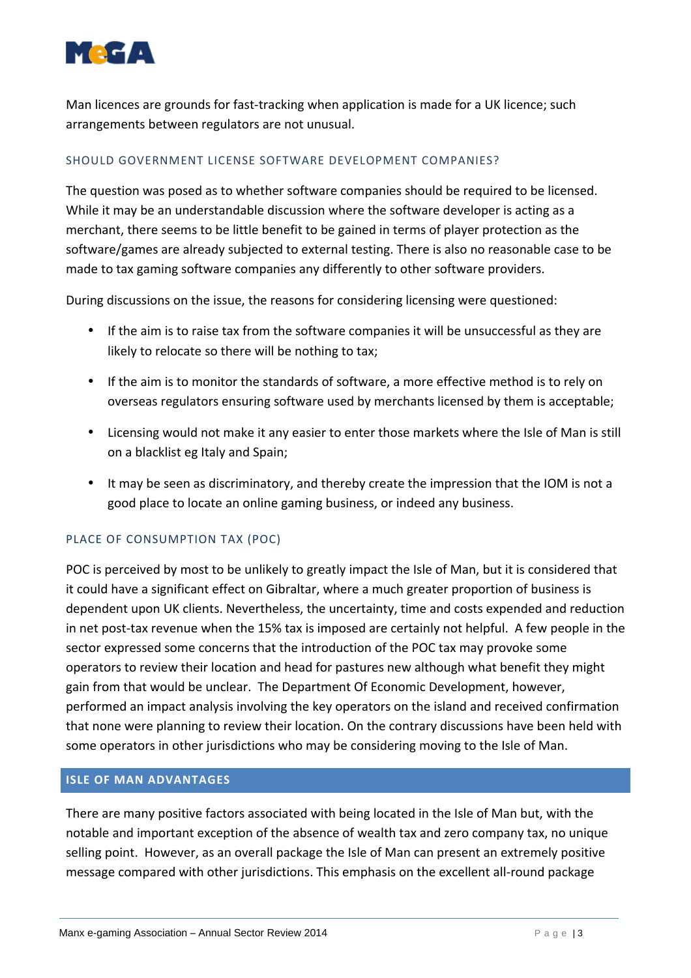

Man licences are grounds for fast-tracking when application is made for a UK licence; such arrangements between regulators are not unusual.

## SHOULD GOVERNMENT LICENSE SOFTWARE DEVELOPMENT COMPANIES?

The question was posed as to whether software companies should be required to be licensed. While it may be an understandable discussion where the software developer is acting as a merchant, there seems to be little benefit to be gained in terms of player protection as the software/games are already subjected to external testing. There is also no reasonable case to be made to tax gaming software companies any differently to other software providers.

During discussions on the issue, the reasons for considering licensing were questioned:

- If the aim is to raise tax from the software companies it will be unsuccessful as they are likely to relocate so there will be nothing to tax;
- If the aim is to monitor the standards of software, a more effective method is to rely on overseas regulators ensuring software used by merchants licensed by them is acceptable;
- Licensing would not make it any easier to enter those markets where the Isle of Man is still on a blacklist eg Italy and Spain;
- It may be seen as discriminatory, and thereby create the impression that the IOM is not a good place to locate an online gaming business, or indeed any business.

## PLACE OF CONSUMPTION TAX (POC)

POC is perceived by most to be unlikely to greatly impact the Isle of Man, but it is considered that it could have a significant effect on Gibraltar, where a much greater proportion of business is dependent upon UK clients. Nevertheless, the uncertainty, time and costs expended and reduction in net post-tax revenue when the 15% tax is imposed are certainly not helpful. A few people in the sector expressed some concerns that the introduction of the POC tax may provoke some operators to review their location and head for pastures new although what benefit they might gain from that would be unclear. The Department Of Economic Development, however, performed an impact analysis involving the key operators on the island and received confirmation that none were planning to review their location. On the contrary discussions have been held with some operators in other jurisdictions who may be considering moving to the Isle of Man.

#### **ISLE OF MAN ADVANTAGES**

There are many positive factors associated with being located in the Isle of Man but, with the notable and important exception of the absence of wealth tax and zero company tax, no unique selling point. However, as an overall package the Isle of Man can present an extremely positive message compared with other jurisdictions. This emphasis on the excellent all‐round package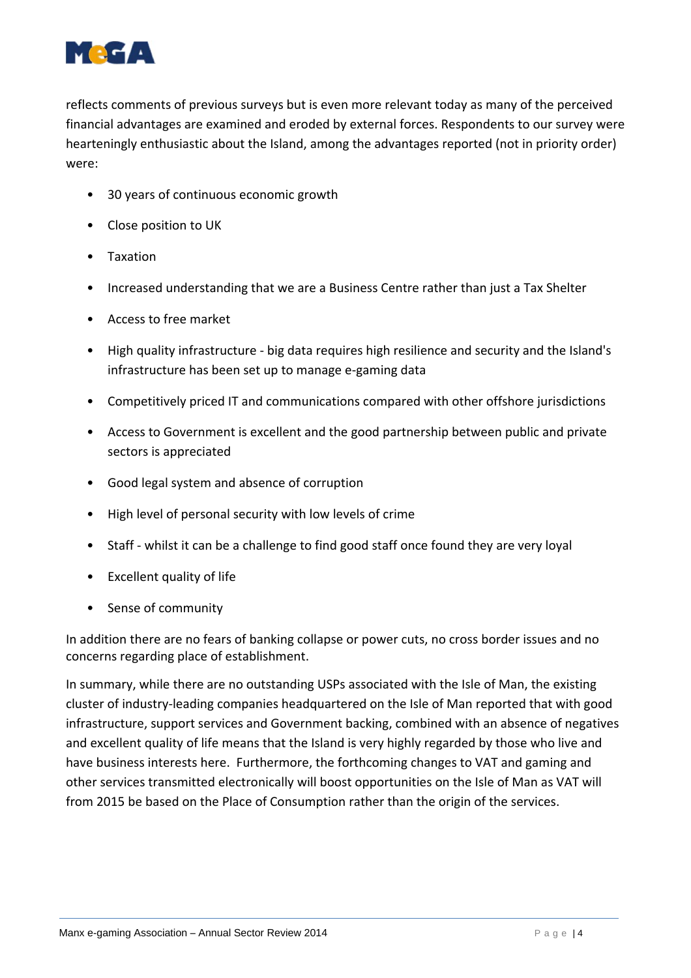

reflects comments of previous surveys but is even more relevant today as many of the perceived financial advantages are examined and eroded by external forces. Respondents to our survey were hearteningly enthusiastic about the Island, among the advantages reported (not in priority order) were:

- 30 years of continuous economic growth
- Close position to UK
- Taxation
- Increased understanding that we are a Business Centre rather than just a Tax Shelter
- Access to free market
- High quality infrastructure ‐ big data requires high resilience and security and the Island's infrastructure has been set up to manage e‐gaming data
- Competitively priced IT and communications compared with other offshore jurisdictions
- Access to Government is excellent and the good partnership between public and private sectors is appreciated
- Good legal system and absence of corruption
- High level of personal security with low levels of crime
- Staff whilst it can be a challenge to find good staff once found they are very loyal
- Excellent quality of life
- Sense of community

In addition there are no fears of banking collapse or power cuts, no cross border issues and no concerns regarding place of establishment.

In summary, while there are no outstanding USPs associated with the Isle of Man, the existing cluster of industry‐leading companies headquartered on the Isle of Man reported that with good infrastructure, support services and Government backing, combined with an absence of negatives and excellent quality of life means that the Island is very highly regarded by those who live and have business interests here. Furthermore, the forthcoming changes to VAT and gaming and other services transmitted electronically will boost opportunities on the Isle of Man as VAT will from 2015 be based on the Place of Consumption rather than the origin of the services.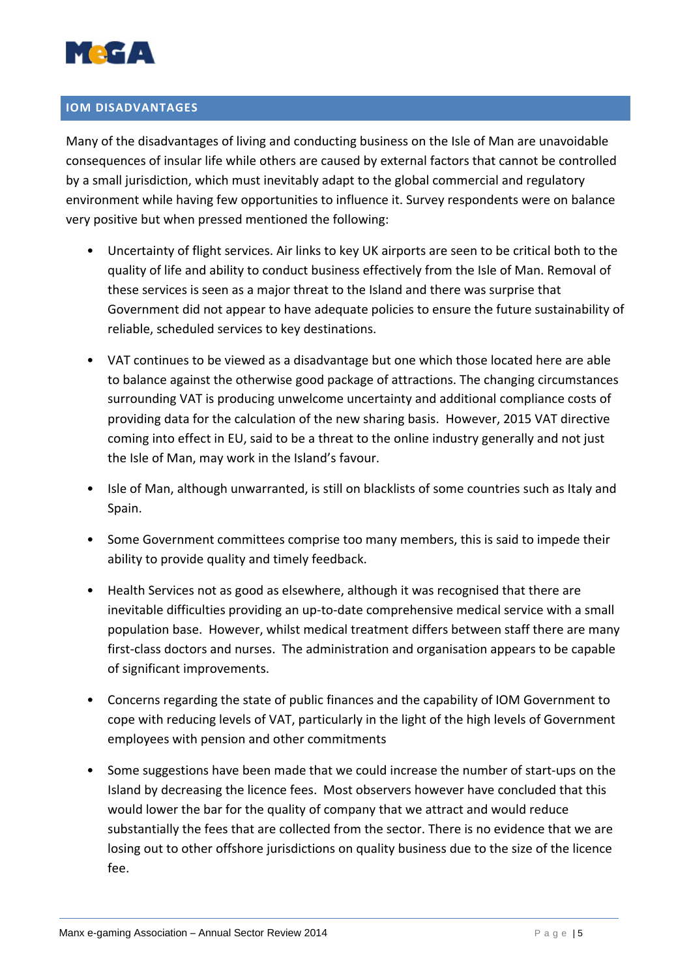

# **IOM DISADVANTAGES**

Many of the disadvantages of living and conducting business on the Isle of Man are unavoidable consequences of insular life while others are caused by external factors that cannot be controlled by a small jurisdiction, which must inevitably adapt to the global commercial and regulatory environment while having few opportunities to influence it. Survey respondents were on balance very positive but when pressed mentioned the following:

- Uncertainty of flight services. Air links to key UK airports are seen to be critical both to the quality of life and ability to conduct business effectively from the Isle of Man. Removal of these services is seen as a major threat to the Island and there was surprise that Government did not appear to have adequate policies to ensure the future sustainability of reliable, scheduled services to key destinations.
- VAT continues to be viewed as a disadvantage but one which those located here are able to balance against the otherwise good package of attractions. The changing circumstances surrounding VAT is producing unwelcome uncertainty and additional compliance costs of providing data for the calculation of the new sharing basis. However, 2015 VAT directive coming into effect in EU, said to be a threat to the online industry generally and not just the Isle of Man, may work in the Island's favour.
- Isle of Man, although unwarranted, is still on blacklists of some countries such as Italy and Spain.
- Some Government committees comprise too many members, this is said to impede their ability to provide quality and timely feedback.
- Health Services not as good as elsewhere, although it was recognised that there are inevitable difficulties providing an up‐to‐date comprehensive medical service with a small population base. However, whilst medical treatment differs between staff there are many first-class doctors and nurses. The administration and organisation appears to be capable of significant improvements.
- Concerns regarding the state of public finances and the capability of IOM Government to cope with reducing levels of VAT, particularly in the light of the high levels of Government employees with pension and other commitments
- Some suggestions have been made that we could increase the number of start-ups on the Island by decreasing the licence fees. Most observers however have concluded that this would lower the bar for the quality of company that we attract and would reduce substantially the fees that are collected from the sector. There is no evidence that we are losing out to other offshore jurisdictions on quality business due to the size of the licence fee.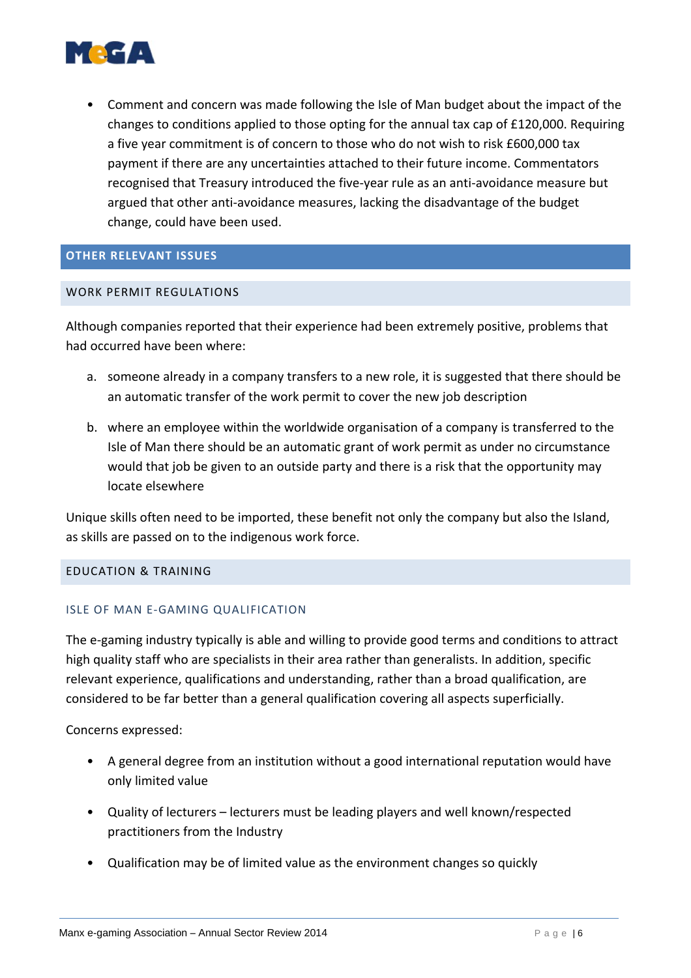

• Comment and concern was made following the Isle of Man budget about the impact of the changes to conditions applied to those opting for the annual tax cap of £120,000. Requiring a five year commitment is of concern to those who do not wish to risk £600,000 tax payment if there are any uncertainties attached to their future income. Commentators recognised that Treasury introduced the five-year rule as an anti-avoidance measure but argued that other anti‐avoidance measures, lacking the disadvantage of the budget change, could have been used.

## **OTHER RELEVANT ISSUES**

## WORK PERMIT REGULATIONS

Although companies reported that their experience had been extremely positive, problems that had occurred have been where:

- a. someone already in a company transfers to a new role, it is suggested that there should be an automatic transfer of the work permit to cover the new job description
- b. where an employee within the worldwide organisation of a company is transferred to the Isle of Man there should be an automatic grant of work permit as under no circumstance would that job be given to an outside party and there is a risk that the opportunity may locate elsewhere

Unique skills often need to be imported, these benefit not only the company but also the Island, as skills are passed on to the indigenous work force.

#### EDUCATION & TRAINING

## ISLE OF MAN E‐GAMING QUALIFICATION

The e-gaming industry typically is able and willing to provide good terms and conditions to attract high quality staff who are specialists in their area rather than generalists. In addition, specific relevant experience, qualifications and understanding, rather than a broad qualification, are considered to be far better than a general qualification covering all aspects superficially.

Concerns expressed:

- A general degree from an institution without a good international reputation would have only limited value
- Quality of lecturers lecturers must be leading players and well known/respected practitioners from the Industry
- Qualification may be of limited value as the environment changes so quickly